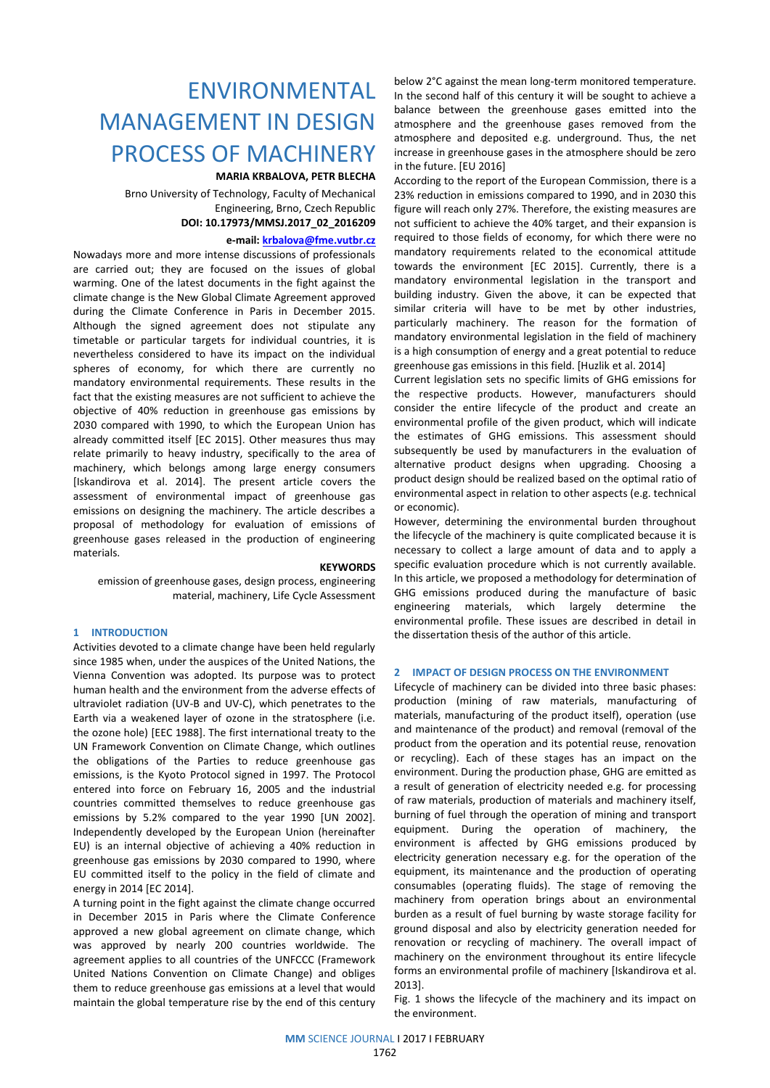# ENVIRONMENTAL MANAGEMENT IN DESIGN PROCESS OF MACHINERY

## **MARIA KRBALOVA, PETR BLECHA**

Brno University of Technology, Faculty of Mechanical Engineering, Brno, Czech Republic **DOI: 10.17973/MMSJ.2017\_02\_2016209**

#### **e-mail: [krbalova@fme.vutbr.cz](mailto:krbalova@fme.vutbr.cz)**

Nowadays more and more intense discussions of professionals are carried out; they are focused on the issues of global warming. One of the latest documents in the fight against the climate change is the New Global Climate Agreement approved during the Climate Conference in Paris in December 2015. Although the signed agreement does not stipulate any timetable or particular targets for individual countries, it is nevertheless considered to have its impact on the individual spheres of economy, for which there are currently no mandatory environmental requirements. These results in the fact that the existing measures are not sufficient to achieve the objective of 40% reduction in greenhouse gas emissions by 2030 compared with 1990, to which the European Union has already committed itself [EC 2015]. Other measures thus may relate primarily to heavy industry, specifically to the area of machinery, which belongs among large energy consumers [Iskandirova et al. 2014]. The present article covers the assessment of environmental impact of greenhouse gas emissions on designing the machinery. The article describes a proposal of methodology for evaluation of emissions of greenhouse gases released in the production of engineering materials.

#### **KEYWORDS**

emission of greenhouse gases, design process, engineering material, machinery, Life Cycle Assessment

#### **1 INTRODUCTION**

Activities devoted to a climate change have been held regularly since 1985 when, under the auspices of the United Nations, the Vienna Convention was adopted. Its purpose was to protect human health and the environment from the adverse effects of ultraviolet radiation (UV-B and UV-C), which penetrates to the Earth via a weakened layer of ozone in the stratosphere (i.e. the ozone hole) [EEC 1988]. The first international treaty to the UN Framework Convention on Climate Change, which outlines the obligations of the Parties to reduce greenhouse gas emissions, is the Kyoto Protocol signed in 1997. The Protocol entered into force on February 16, 2005 and the industrial countries committed themselves to reduce greenhouse gas emissions by 5.2% compared to the year 1990 [UN 2002]. Independently developed by the European Union (hereinafter EU) is an internal objective of achieving a 40% reduction in greenhouse gas emissions by 2030 compared to 1990, where EU committed itself to the policy in the field of climate and energy in 2014 [EC 2014].

A turning point in the fight against the climate change occurred in December 2015 in Paris where the Climate Conference approved a new global agreement on climate change, which was approved by nearly 200 countries worldwide. The agreement applies to all countries of the UNFCCC (Framework United Nations Convention on Climate Change) and obliges them to reduce greenhouse gas emissions at a level that would maintain the global temperature rise by the end of this century below 2°C against the mean long-term monitored temperature. In the second half of this century it will be sought to achieve a balance between the greenhouse gases emitted into the atmosphere and the greenhouse gases removed from the atmosphere and deposited e.g. underground. Thus, the net increase in greenhouse gases in the atmosphere should be zero in the future. [EU 2016]

According to the report of the European Commission, there is a 23% reduction in emissions compared to 1990, and in 2030 this figure will reach only 27%. Therefore, the existing measures are not sufficient to achieve the 40% target, and their expansion is required to those fields of economy, for which there were no mandatory requirements related to the economical attitude towards the environment [EC 2015]. Currently, there is a mandatory environmental legislation in the transport and building industry. Given the above, it can be expected that similar criteria will have to be met by other industries, particularly machinery. The reason for the formation of mandatory environmental legislation in the field of machinery is a high consumption of energy and a great potential to reduce greenhouse gas emissions in this field. [Huzlik et al. 2014]

Current legislation sets no specific limits of GHG emissions for the respective products. However, manufacturers should consider the entire lifecycle of the product and create an environmental profile of the given product, which will indicate the estimates of GHG emissions. This assessment should subsequently be used by manufacturers in the evaluation of alternative product designs when upgrading. Choosing a product design should be realized based on the optimal ratio of environmental aspect in relation to other aspects (e.g. technical or economic).

However, determining the environmental burden throughout the lifecycle of the machinery is quite complicated because it is necessary to collect a large amount of data and to apply a specific evaluation procedure which is not currently available. In this article, we proposed a methodology for determination of GHG emissions produced during the manufacture of basic engineering materials, which largely determine the environmental profile. These issues are described in detail in the dissertation thesis of the author of this article.

#### **2 IMPACT OF DESIGN PROCESS ON THE ENVIRONMENT**

Lifecycle of machinery can be divided into three basic phases: production (mining of raw materials, manufacturing of materials, manufacturing of the product itself), operation (use and maintenance of the product) and removal (removal of the product from the operation and its potential reuse, renovation or recycling). Each of these stages has an impact on the environment. During the production phase, GHG are emitted as a result of generation of electricity needed e.g. for processing of raw materials, production of materials and machinery itself, burning of fuel through the operation of mining and transport equipment. During the operation of machinery, the environment is affected by GHG emissions produced by electricity generation necessary e.g. for the operation of the equipment, its maintenance and the production of operating consumables (operating fluids). The stage of removing the machinery from operation brings about an environmental burden as a result of fuel burning by waste storage facility for ground disposal and also by electricity generation needed for renovation or recycling of machinery. The overall impact of machinery on the environment throughout its entire lifecycle forms an environmental profile of machinery [Iskandirova et al. 2013].

Fig. 1 shows the lifecycle of the machinery and its impact on the environment.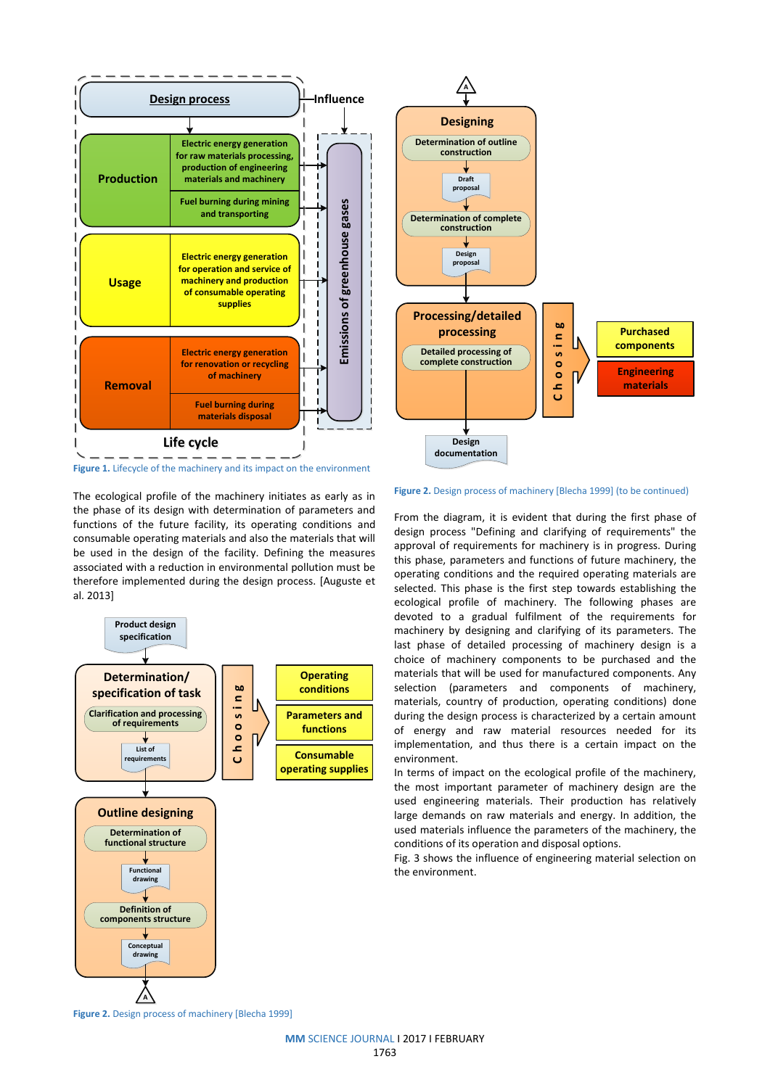



The ecological profile of the machinery initiates as early as in the phase of its design with determination of parameters and functions of the future facility, its operating conditions and consumable operating materials and also the materials that will be used in the design of the facility. Defining the measures associated with a reduction in environmental pollution must be therefore implemented during the design process. [Auguste et al. 2013]





**Figure 2.** Design process of machinery [Blecha 1999] (to be continued)

From the diagram, it is evident that during the first phase of design process "Defining and clarifying of requirements" the approval of requirements for machinery is in progress. During this phase, parameters and functions of future machinery, the operating conditions and the required operating materials are selected. This phase is the first step towards establishing the ecological profile of machinery. The following phases are devoted to a gradual fulfilment of the requirements for machinery by designing and clarifying of its parameters. The last phase of detailed processing of machinery design is a choice of machinery components to be purchased and the materials that will be used for manufactured components. Any selection (parameters and components of machinery, materials, country of production, operating conditions) done during the design process is characterized by a certain amount of energy and raw material resources needed for its implementation, and thus there is a certain impact on the environment.

In terms of impact on the ecological profile of the machinery, the most important parameter of machinery design are the used engineering materials. Their production has relatively large demands on raw materials and energy. In addition, the used materials influence the parameters of the machinery, the conditions of its operation and disposal options.

Fig. 3 shows the influence of engineering material selection on the environment.

**Figure 2.** Design process of machinery [Blecha 1999]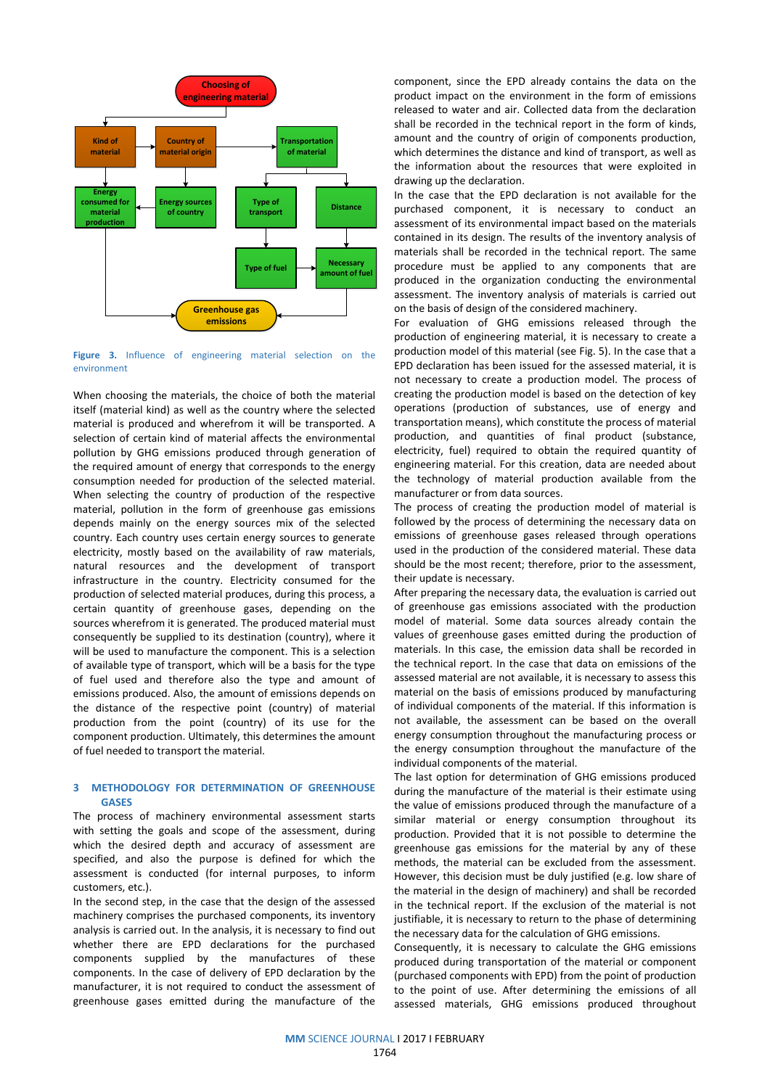

**Figure 3.** Influence of engineering material selection on the environment

When choosing the materials, the choice of both the material itself (material kind) as well as the country where the selected material is produced and wherefrom it will be transported. A selection of certain kind of material affects the environmental pollution by GHG emissions produced through generation of the required amount of energy that corresponds to the energy consumption needed for production of the selected material. When selecting the country of production of the respective material, pollution in the form of greenhouse gas emissions depends mainly on the energy sources mix of the selected country. Each country uses certain energy sources to generate electricity, mostly based on the availability of raw materials, natural resources and the development of transport infrastructure in the country. Electricity consumed for the production of selected material produces, during this process, a certain quantity of greenhouse gases, depending on the sources wherefrom it is generated. The produced material must consequently be supplied to its destination (country), where it will be used to manufacture the component. This is a selection of available type of transport, which will be a basis for the type of fuel used and therefore also the type and amount of emissions produced. Also, the amount of emissions depends on the distance of the respective point (country) of material production from the point (country) of its use for the component production. Ultimately, this determines the amount of fuel needed to transport the material.

#### **3 METHODOLOGY FOR DETERMINATION OF GREENHOUSE GASES**

The process of machinery environmental assessment starts with setting the goals and scope of the assessment, during which the desired depth and accuracy of assessment are specified, and also the purpose is defined for which the assessment is conducted (for internal purposes, to inform customers, etc.).

In the second step, in the case that the design of the assessed machinery comprises the purchased components, its inventory analysis is carried out. In the analysis, it is necessary to find out whether there are EPD declarations for the purchased components supplied by the manufactures of these components. In the case of delivery of EPD declaration by the manufacturer, it is not required to conduct the assessment of greenhouse gases emitted during the manufacture of the component, since the EPD already contains the data on the product impact on the environment in the form of emissions released to water and air. Collected data from the declaration shall be recorded in the technical report in the form of kinds, amount and the country of origin of components production, which determines the distance and kind of transport, as well as the information about the resources that were exploited in drawing up the declaration.

In the case that the EPD declaration is not available for the purchased component, it is necessary to conduct an assessment of its environmental impact based on the materials contained in its design. The results of the inventory analysis of materials shall be recorded in the technical report. The same procedure must be applied to any components that are produced in the organization conducting the environmental assessment. The inventory analysis of materials is carried out on the basis of design of the considered machinery.

For evaluation of GHG emissions released through the production of engineering material, it is necessary to create a production model of this material (see Fig. 5). In the case that a EPD declaration has been issued for the assessed material, it is not necessary to create a production model. The process of creating the production model is based on the detection of key operations (production of substances, use of energy and transportation means), which constitute the process of material production, and quantities of final product (substance, electricity, fuel) required to obtain the required quantity of engineering material. For this creation, data are needed about the technology of material production available from the manufacturer or from data sources.

The process of creating the production model of material is followed by the process of determining the necessary data on emissions of greenhouse gases released through operations used in the production of the considered material. These data should be the most recent; therefore, prior to the assessment, their update is necessary.

After preparing the necessary data, the evaluation is carried out of greenhouse gas emissions associated with the production model of material. Some data sources already contain the values of greenhouse gases emitted during the production of materials. In this case, the emission data shall be recorded in the technical report. In the case that data on emissions of the assessed material are not available, it is necessary to assess this material on the basis of emissions produced by manufacturing of individual components of the material. If this information is not available, the assessment can be based on the overall energy consumption throughout the manufacturing process or the energy consumption throughout the manufacture of the individual components of the material.

The last option for determination of GHG emissions produced during the manufacture of the material is their estimate using the value of emissions produced through the manufacture of a similar material or energy consumption throughout its production. Provided that it is not possible to determine the greenhouse gas emissions for the material by any of these methods, the material can be excluded from the assessment. However, this decision must be duly justified (e.g. low share of the material in the design of machinery) and shall be recorded in the technical report. If the exclusion of the material is not justifiable, it is necessary to return to the phase of determining the necessary data for the calculation of GHG emissions.

Consequently, it is necessary to calculate the GHG emissions produced during transportation of the material or component (purchased components with EPD) from the point of production to the point of use. After determining the emissions of all assessed materials, GHG emissions produced throughout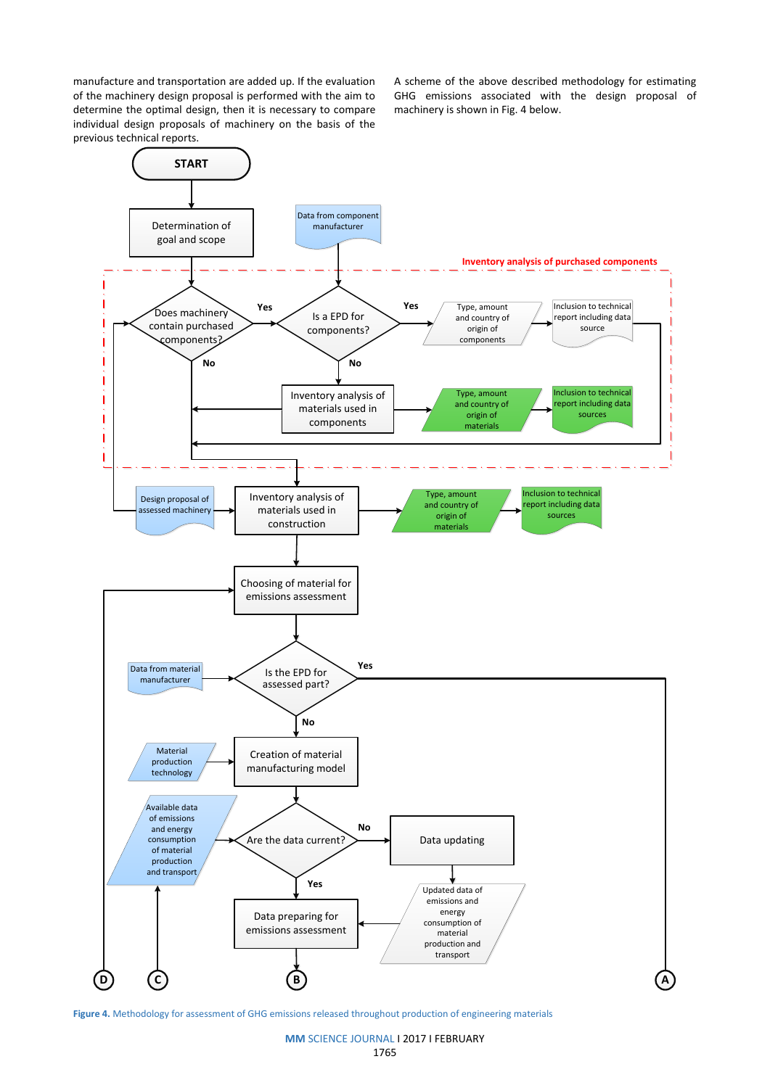manufacture and transportation are added up. If the evaluation of the machinery design proposal is performed with the aim to determine the optimal design, then it is necessary to compare individual design proposals of machinery on the basis of the previous technical reports.

A scheme of the above described methodology for estimating GHG emissions associated with the design proposal of machinery is shown in Fig. 4 below.



**Figure 4.** Methodology for assessment of GHG emissions released throughout production of engineering materials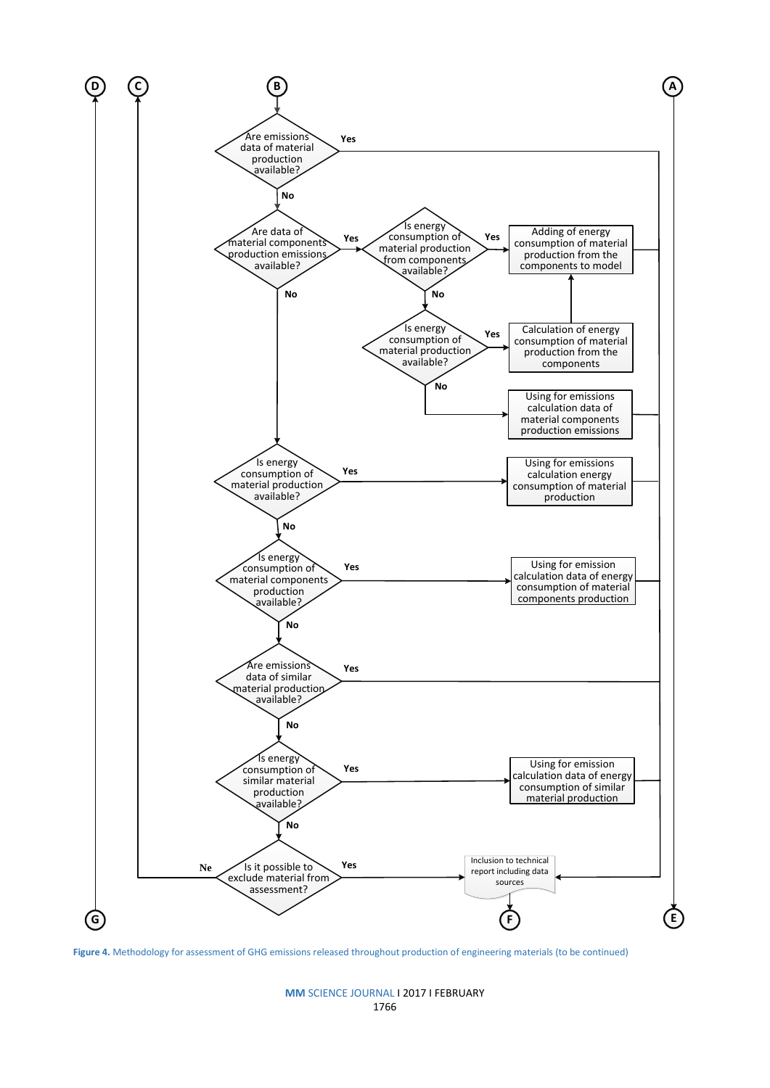

**Figure 4.** Methodology for assessment of GHG emissions released throughout production of engineering materials (to be continued)

# **MM** SCIENCE JOURNAL I 2017 I FEBRUARY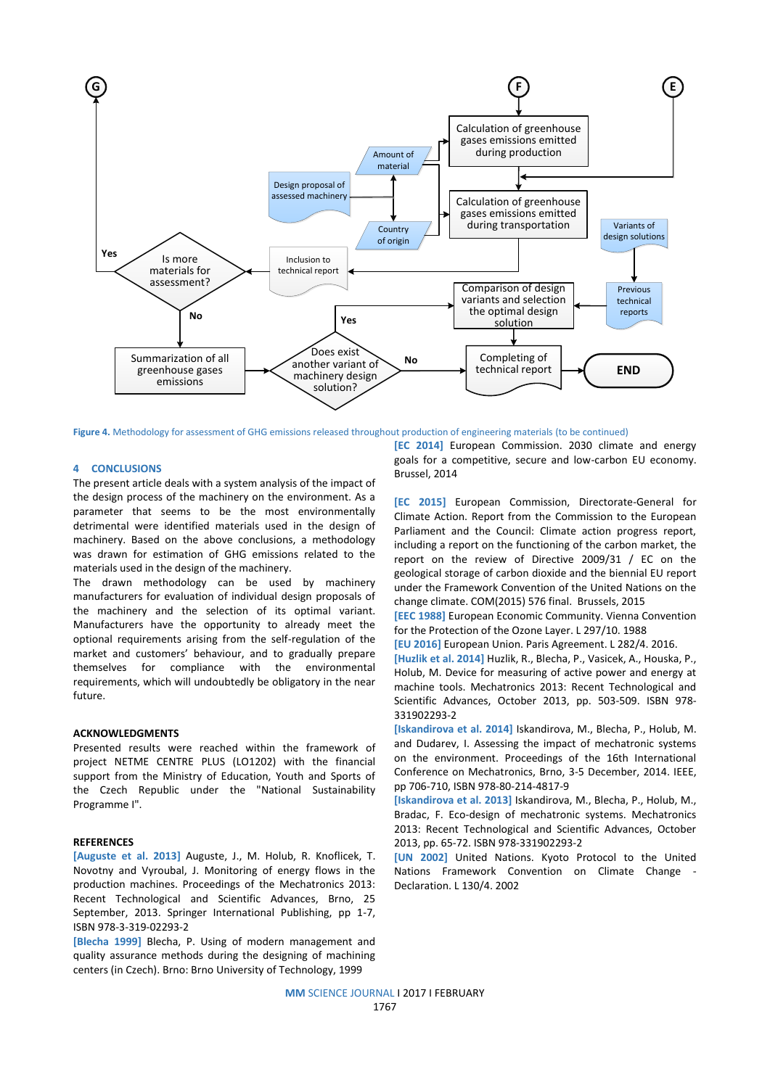

**Figure 4.** Methodology for assessment of GHG emissions released throughout production of engineering materials (to be continued)

#### **4 CONCLUSIONS**

The present article deals with a system analysis of the impact of the design process of the machinery on the environment. As a parameter that seems to be the most environmentally detrimental were identified materials used in the design of machinery. Based on the above conclusions, a methodology was drawn for estimation of GHG emissions related to the materials used in the design of the machinery.

The drawn methodology can be used by machinery manufacturers for evaluation of individual design proposals of the machinery and the selection of its optimal variant. Manufacturers have the opportunity to already meet the optional requirements arising from the self-regulation of the market and customers' behaviour, and to gradually prepare themselves for compliance with the environmental requirements, which will undoubtedly be obligatory in the near future.

#### **ACKNOWLEDGMENTS**

Presented results were reached within the framework of project NETME CENTRE PLUS (LO1202) with the financial support from the Ministry of Education, Youth and Sports of the Czech Republic under the "National Sustainability Programme I".

#### **REFERENCES**

**[Auguste et al. 2013]** Auguste, J., M. Holub, R. Knoflicek, T. Novotny and Vyroubal, J. Monitoring of energy flows in the production machines. Proceedings of the Mechatronics 2013: Recent Technological and Scientific Advances, Brno, 25 September, 2013. Springer International Publishing, pp 1-7, ISBN 978-3-319-02293-2

**[Blecha 1999]** Blecha, P. Using of modern management and quality assurance methods during the designing of machining centers (in Czech). Brno: Brno University of Technology, 1999

**[EC 2014]** European Commission. 2030 climate and energy goals for a competitive, secure and low-carbon EU economy. Brussel, 2014

**[EC 2015]** European Commission, Directorate-General for Climate Action. Report from the Commission to the European Parliament and the Council: Climate action progress report, including a report on the functioning of the carbon market, the report on the review of Directive 2009/31 / EC on the geological storage of carbon dioxide and the biennial EU report under the Framework Convention of the United Nations on the change climate. COM(2015) 576 final. Brussels, 2015

**[EEC 1988]** European Economic Community. Vienna Convention for the Protection of the Ozone Layer. L 297/10. 1988

**[EU 2016]** European Union. Paris Agreement. L 282/4. 2016.

**[Huzlik et al. 2014]** Huzlik, R., Blecha, P., Vasicek, A., Houska, P., Holub, M. Device for measuring of active power and energy at machine tools. Mechatronics 2013: Recent Technological and Scientific Advances, October 2013, pp. 503-509. ISBN 978- 331902293-2

**[Iskandirova et al. 2014]** Iskandirova, M., Blecha, P., Holub, M. and Dudarev, I. Assessing the impact of mechatronic systems on the environment. Proceedings of the 16th International Conference on Mechatronics, Brno, 3-5 December, 2014. IEEE, pp 706-710, ISBN 978-80-214-4817-9

**[Iskandirova et al. 2013]** Iskandirova, M., Blecha, P., Holub, M., Bradac, F. Eco-design of mechatronic systems. Mechatronics 2013: Recent Technological and Scientific Advances, October 2013, pp. 65-72. ISBN 978-331902293-2

**[UN 2002]** United Nations. Kyoto Protocol to the United Nations Framework Convention on Climate Change - Declaration. L 130/4. 2002